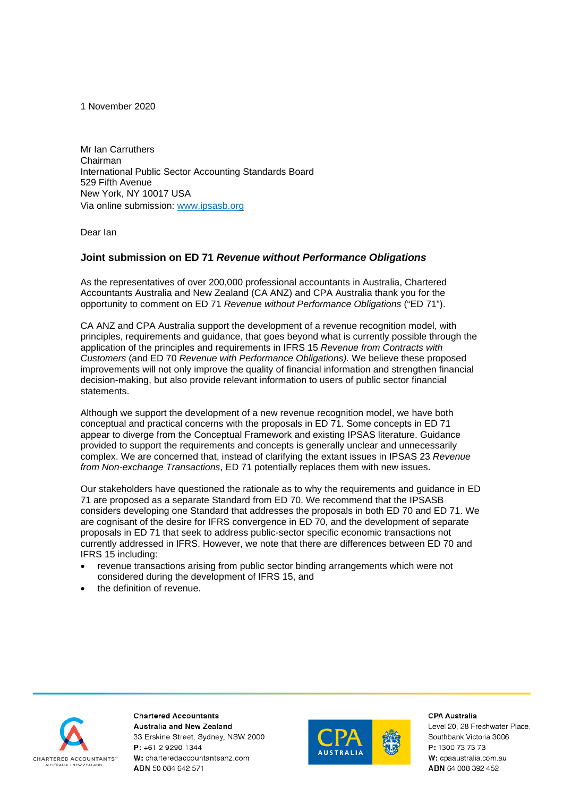1 November 2020

Mr Ian Carruthers Chairman International Public Sector Accounting Standards Board 529 Fifth Avenue New York, NY 10017 USA Via online submission: [www.ipsasb.org](http://www.ipsasb.org/)

Dear Ian

# **Joint submission on ED 71** *Revenue without Performance Obligations*

As the representatives of over 200,000 professional accountants in Australia, Chartered Accountants Australia and New Zealand (CA ANZ) and CPA Australia thank you for the opportunity to comment on ED 71 *Revenue without Performance Obligations* ("ED 71").

CA ANZ and CPA Australia support the development of a revenue recognition model, with principles, requirements and guidance, that goes beyond what is currently possible through the application of the principles and requirements in IFRS 15 *Revenue from Contracts with Customers* (and ED 70 *Revenue with Performance Obligations).* We believe these proposed improvements will not only improve the quality of financial information and strengthen financial decision-making, but also provide relevant information to users of public sector financial statements.

Although we support the development of a new revenue recognition model, we have both conceptual and practical concerns with the proposals in ED 71. Some concepts in ED 71 appear to diverge from the Conceptual Framework and existing IPSAS literature. Guidance provided to support the requirements and concepts is generally unclear and unnecessarily complex. We are concerned that, instead of clarifying the extant issues in IPSAS 23 *Revenue from Non-exchange Transactions*, ED 71 potentially replaces them with new issues.

Our stakeholders have questioned the rationale as to why the requirements and guidance in ED 71 are proposed as a separate Standard from ED 70. We recommend that the IPSASB considers developing one Standard that addresses the proposals in both ED 70 and ED 71. We are cognisant of the desire for IFRS convergence in ED 70, and the development of separate proposals in ED 71 that seek to address public-sector specific economic transactions not currently addressed in IFRS. However, we note that there are differences between ED 70 and IFRS 15 including:

- revenue transactions arising from public sector binding arrangements which were not considered during the development of IFRS 15, and
- the definition of revenue.



**Chartered Accountants** Australia and New Zealand 33 Erskine Street, Sydney, NSW 2000 P: +61 2 9290 1344 W: charteredaccountantsanz.com ABN 50 084 642 571



CPA Australia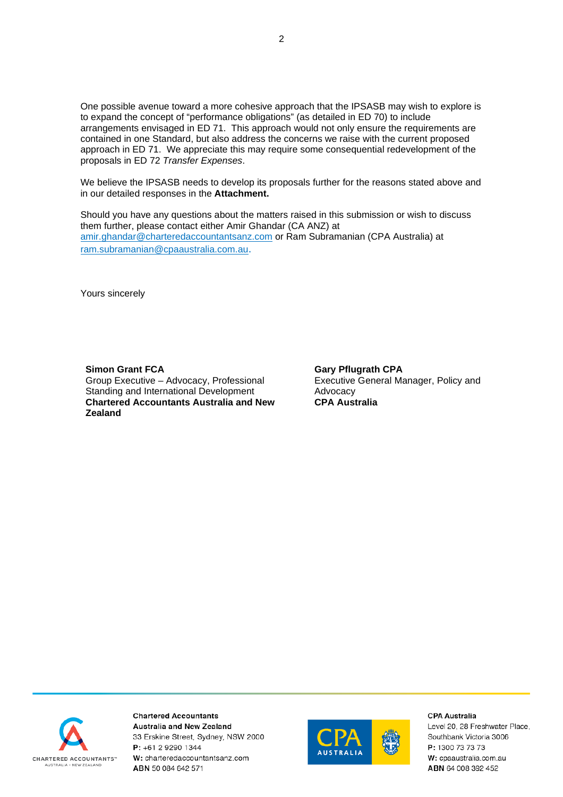One possible avenue toward a more cohesive approach that the IPSASB may wish to explore is to expand the concept of "performance obligations" (as detailed in ED 70) to include arrangements envisaged in ED 71. This approach would not only ensure the requirements are contained in one Standard, but also address the concerns we raise with the current proposed approach in ED 71. We appreciate this may require some consequential redevelopment of the proposals in ED 72 *Transfer Expenses*.

We believe the IPSASB needs to develop its proposals further for the reasons stated above and in our detailed responses in the **Attachment.**

Should you have any questions about the matters raised in this submission or wish to discuss them further, please contact either Amir Ghandar (CA ANZ) at [amir.ghandar@charteredaccountantsanz.com](mailto:amir.ghandar@charteredaccountantsanz.com) or Ram Subramanian (CPA Australia) at [ram.subramanian@cpaaustralia.com.au.](mailto:ram.subramanian@cpaaustralia.com.au)

Yours sincerely

**Simon Grant FCA** Group Executive – Advocacy, Professional Standing and International Development **Chartered Accountants Australia and New Zealand**

**Gary Pflugrath CPA** Executive General Manager, Policy and Advocacy **CPA Australia**



**Chartered Accountants Australia and New Zealand** 33 Erskine Street, Sydney, NSW 2000 P: +61 2 9290 1344 W: charteredaccountantsanz.com ABN 50 084 642 571



**CPA Australia**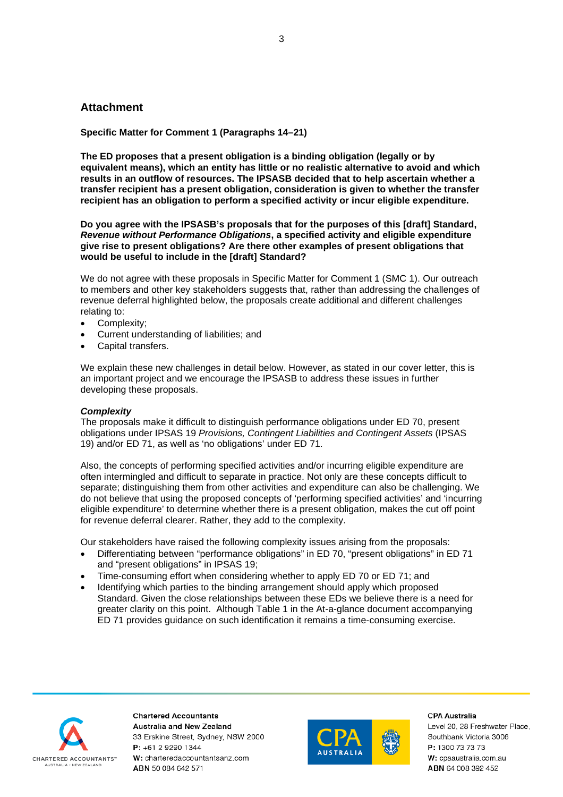# **Attachment**

**Specific Matter for Comment 1 (Paragraphs 14–21)**

**The ED proposes that a present obligation is a binding obligation (legally or by equivalent means), which an entity has little or no realistic alternative to avoid and which results in an outflow of resources. The IPSASB decided that to help ascertain whether a transfer recipient has a present obligation, consideration is given to whether the transfer recipient has an obligation to perform a specified activity or incur eligible expenditure.**

**Do you agree with the IPSASB's proposals that for the purposes of this [draft] Standard,**  *Revenue without Performance Obligations***, a specified activity and eligible expenditure give rise to present obligations? Are there other examples of present obligations that would be useful to include in the [draft] Standard?**

We do not agree with these proposals in Specific Matter for Comment 1 (SMC 1). Our outreach to members and other key stakeholders suggests that, rather than addressing the challenges of revenue deferral highlighted below, the proposals create additional and different challenges relating to:

- Complexity;
- Current understanding of liabilities; and
- Capital transfers.

We explain these new challenges in detail below. However, as stated in our cover letter, this is an important project and we encourage the IPSASB to address these issues in further developing these proposals.

### *Complexity*

The proposals make it difficult to distinguish performance obligations under ED 70, present obligations under IPSAS 19 *Provisions, Contingent Liabilities and Contingent Assets* (IPSAS 19) and/or ED 71, as well as 'no obligations' under ED 71.

Also, the concepts of performing specified activities and/or incurring eligible expenditure are often intermingled and difficult to separate in practice. Not only are these concepts difficult to separate; distinguishing them from other activities and expenditure can also be challenging. We do not believe that using the proposed concepts of 'performing specified activities' and 'incurring eligible expenditure' to determine whether there is a present obligation, makes the cut off point for revenue deferral clearer. Rather, they add to the complexity.

Our stakeholders have raised the following complexity issues arising from the proposals:

- Differentiating between "performance obligations" in ED 70, "present obligations" in ED 71 and "present obligations" in IPSAS 19;
- Time-consuming effort when considering whether to apply ED 70 or ED 71; and
- Identifying which parties to the binding arrangement should apply which proposed Standard. Given the close relationships between these EDs we believe there is a need for greater clarity on this point. Although Table 1 in the At-a-glance document accompanying ED 71 provides guidance on such identification it remains a time-consuming exercise.



**Chartered Accountants Australia and New Zealand** 33 Erskine Street, Sydney, NSW 2000 P: +61 2 9290 1344 W: charteredaccountantsanz.com ABN 50 084 642 571



**CPA Australia**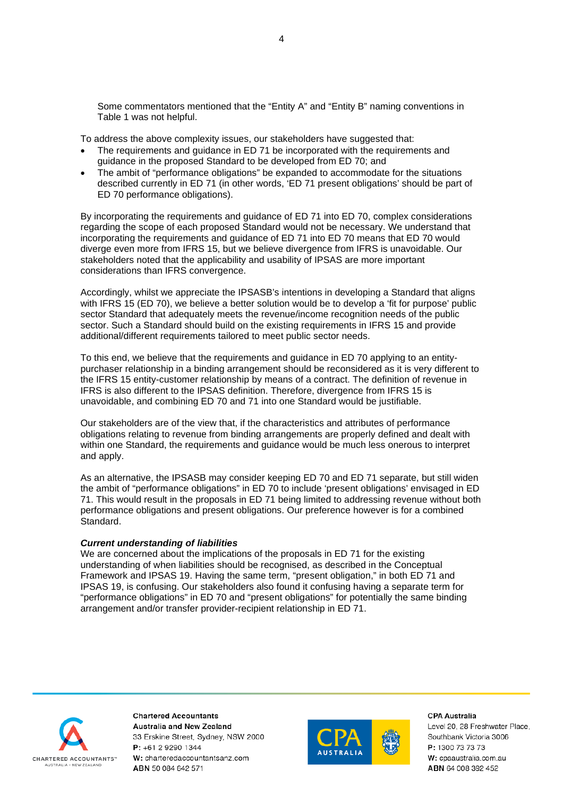Some commentators mentioned that the "Entity A" and "Entity B" naming conventions in Table 1 was not helpful.

To address the above complexity issues, our stakeholders have suggested that:

- The requirements and guidance in ED 71 be incorporated with the requirements and guidance in the proposed Standard to be developed from ED 70; and
- The ambit of "performance obligations" be expanded to accommodate for the situations described currently in ED 71 (in other words, 'ED 71 present obligations' should be part of ED 70 performance obligations).

By incorporating the requirements and guidance of ED 71 into ED 70, complex considerations regarding the scope of each proposed Standard would not be necessary. We understand that incorporating the requirements and guidance of ED 71 into ED 70 means that ED 70 would diverge even more from IFRS 15, but we believe divergence from IFRS is unavoidable. Our stakeholders noted that the applicability and usability of IPSAS are more important considerations than IFRS convergence.

Accordingly, whilst we appreciate the IPSASB's intentions in developing a Standard that aligns with IFRS 15 (ED 70), we believe a better solution would be to develop a 'fit for purpose' public sector Standard that adequately meets the revenue/income recognition needs of the public sector. Such a Standard should build on the existing requirements in IFRS 15 and provide additional/different requirements tailored to meet public sector needs.

To this end, we believe that the requirements and guidance in ED 70 applying to an entitypurchaser relationship in a binding arrangement should be reconsidered as it is very different to the IFRS 15 entity-customer relationship by means of a contract. The definition of revenue in IFRS is also different to the IPSAS definition. Therefore, divergence from IFRS 15 is unavoidable, and combining ED 70 and 71 into one Standard would be justifiable.

Our stakeholders are of the view that, if the characteristics and attributes of performance obligations relating to revenue from binding arrangements are properly defined and dealt with within one Standard, the requirements and guidance would be much less onerous to interpret and apply.

As an alternative, the IPSASB may consider keeping ED 70 and ED 71 separate, but still widen the ambit of "performance obligations" in ED 70 to include 'present obligations' envisaged in ED 71. This would result in the proposals in ED 71 being limited to addressing revenue without both performance obligations and present obligations. Our preference however is for a combined Standard.

## *Current understanding of liabilities*

We are concerned about the implications of the proposals in ED 71 for the existing understanding of when liabilities should be recognised, as described in the Conceptual Framework and IPSAS 19. Having the same term, "present obligation," in both ED 71 and IPSAS 19, is confusing. Our stakeholders also found it confusing having a separate term for "performance obligations" in ED 70 and "present obligations" for potentially the same binding arrangement and/or transfer provider-recipient relationship in ED 71.



**Chartered Accountants Australia and New Zealand** 33 Erskine Street, Sydney, NSW 2000 P: +61 2 9290 1344 W: charteredaccountantsanz.com ABN 50 084 642 571



**CPA Australia**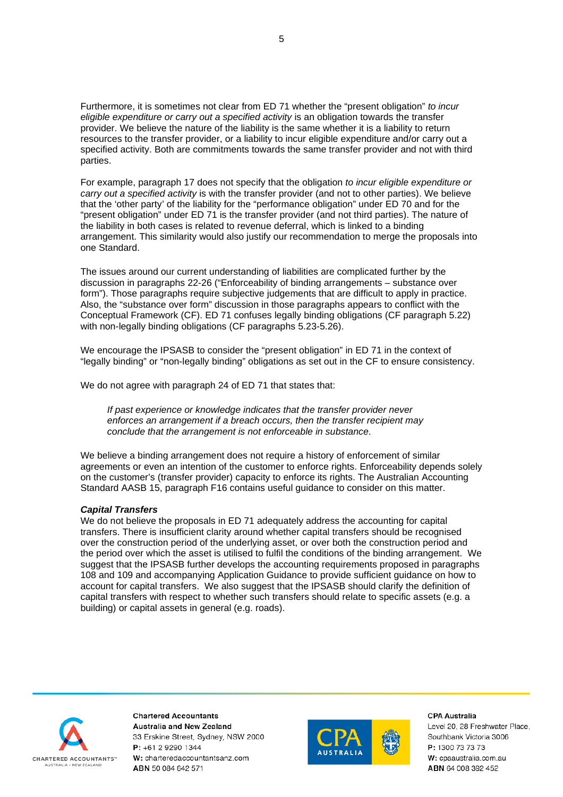Furthermore, it is sometimes not clear from ED 71 whether the "present obligation" *to incur eligible expenditure or carry out a specified activity* is an obligation towards the transfer provider. We believe the nature of the liability is the same whether it is a liability to return resources to the transfer provider, or a liability to incur eligible expenditure and/or carry out a specified activity. Both are commitments towards the same transfer provider and not with third parties.

For example, paragraph 17 does not specify that the obligation *to incur eligible expenditure or carry out a specified activity* is with the transfer provider (and not to other parties). We believe that the 'other party' of the liability for the "performance obligation" under ED 70 and for the "present obligation" under ED 71 is the transfer provider (and not third parties). The nature of the liability in both cases is related to revenue deferral, which is linked to a binding arrangement. This similarity would also justify our recommendation to merge the proposals into one Standard.

The issues around our current understanding of liabilities are complicated further by the discussion in paragraphs 22-26 ("Enforceability of binding arrangements – substance over form"). Those paragraphs require subjective judgements that are difficult to apply in practice. Also, the "substance over form" discussion in those paragraphs appears to conflict with the Conceptual Framework (CF). ED 71 confuses legally binding obligations (CF paragraph 5.22) with non-legally binding obligations (CF paragraphs 5.23-5.26).

We encourage the IPSASB to consider the "present obligation" in ED 71 in the context of "legally binding" or "non-legally binding" obligations as set out in the CF to ensure consistency.

We do not agree with paragraph 24 of ED 71 that states that:

*If past experience or knowledge indicates that the transfer provider never enforces an arrangement if a breach occurs, then the transfer recipient may conclude that the arrangement is not enforceable in substance*.

We believe a binding arrangement does not require a history of enforcement of similar agreements or even an intention of the customer to enforce rights. Enforceability depends solely on the customer's (transfer provider) capacity to enforce its rights. The Australian Accounting Standard AASB 15, paragraph F16 contains useful guidance to consider on this matter.

### *Capital Transfers*

We do not believe the proposals in ED 71 adequately address the accounting for capital transfers. There is insufficient clarity around whether capital transfers should be recognised over the construction period of the underlying asset, or over both the construction period and the period over which the asset is utilised to fulfil the conditions of the binding arrangement. We suggest that the IPSASB further develops the accounting requirements proposed in paragraphs 108 and 109 and accompanying Application Guidance to provide sufficient guidance on how to account for capital transfers. We also suggest that the IPSASB should clarify the definition of capital transfers with respect to whether such transfers should relate to specific assets (e.g. a building) or capital assets in general (e.g. roads).



**Chartered Accountants Australia and New Zealand** 33 Erskine Street, Sydney, NSW 2000 P: +61 2 9290 1344 W: charteredaccountantsanz.com ABN 50 084 642 571



**CPA Australia**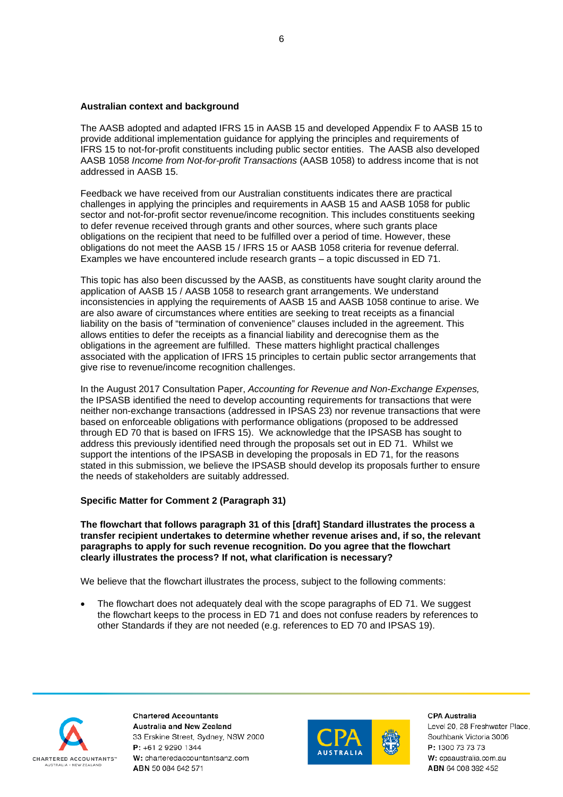## **Australian context and background**

The AASB adopted and adapted IFRS 15 in AASB 15 and developed Appendix F to AASB 15 to provide additional implementation guidance for applying the principles and requirements of IFRS 15 to not-for-profit constituents including public sector entities. The AASB also developed AASB 1058 *Income from Not-for-profit Transactions* (AASB 1058) to address income that is not addressed in AASB 15.

Feedback we have received from our Australian constituents indicates there are practical challenges in applying the principles and requirements in AASB 15 and AASB 1058 for public sector and not-for-profit sector revenue/income recognition. This includes constituents seeking to defer revenue received through grants and other sources, where such grants place obligations on the recipient that need to be fulfilled over a period of time. However, these obligations do not meet the AASB 15 / IFRS 15 or AASB 1058 criteria for revenue deferral. Examples we have encountered include research grants – a topic discussed in ED 71.

This topic has also been discussed by the AASB, as constituents have sought clarity around the application of AASB 15 / AASB 1058 to research grant arrangements. We understand inconsistencies in applying the requirements of AASB 15 and AASB 1058 continue to arise. We are also aware of circumstances where entities are seeking to treat receipts as a financial liability on the basis of "termination of convenience" clauses included in the agreement. This allows entities to defer the receipts as a financial liability and derecognise them as the obligations in the agreement are fulfilled. These matters highlight practical challenges associated with the application of IFRS 15 principles to certain public sector arrangements that give rise to revenue/income recognition challenges.

In the August 2017 Consultation Paper, *Accounting for Revenue and Non-Exchange Expenses,*  the IPSASB identified the need to develop accounting requirements for transactions that were neither non-exchange transactions (addressed in IPSAS 23) nor revenue transactions that were based on enforceable obligations with performance obligations (proposed to be addressed through ED 70 that is based on IFRS 15). We acknowledge that the IPSASB has sought to address this previously identified need through the proposals set out in ED 71. Whilst we support the intentions of the IPSASB in developing the proposals in ED 71, for the reasons stated in this submission, we believe the IPSASB should develop its proposals further to ensure the needs of stakeholders are suitably addressed.

# **Specific Matter for Comment 2 (Paragraph 31)**

**The flowchart that follows paragraph 31 of this [draft] Standard illustrates the process a transfer recipient undertakes to determine whether revenue arises and, if so, the relevant paragraphs to apply for such revenue recognition. Do you agree that the flowchart clearly illustrates the process? If not, what clarification is necessary?**

We believe that the flowchart illustrates the process, subject to the following comments:

• The flowchart does not adequately deal with the scope paragraphs of ED 71. We suggest the flowchart keeps to the process in ED 71 and does not confuse readers by references to other Standards if they are not needed (e.g. references to ED 70 and IPSAS 19).



**Chartered Accountants Australia and New Zealand** 33 Erskine Street, Sydney, NSW 2000 P: +61 2 9290 1344 W: charteredaccountantsanz.com ABN 50 084 642 571



CPA Australia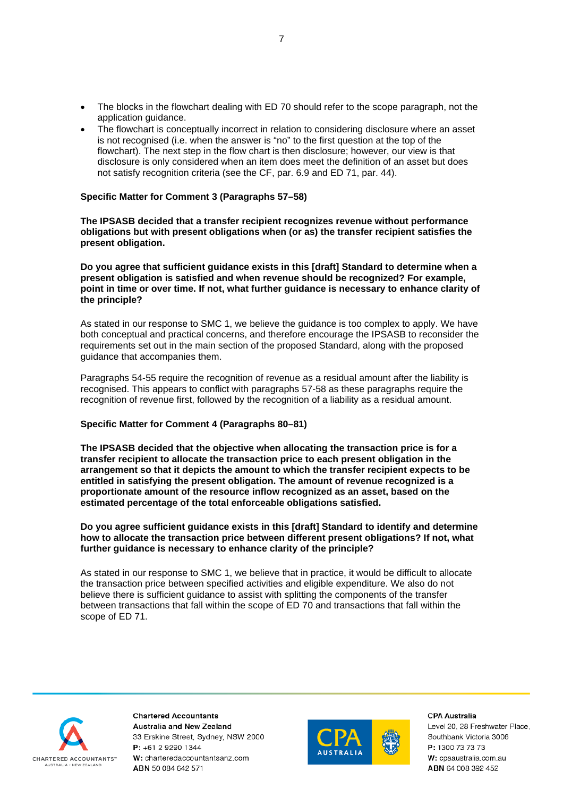- The blocks in the flowchart dealing with ED 70 should refer to the scope paragraph, not the application guidance.
- The flowchart is conceptually incorrect in relation to considering disclosure where an asset is not recognised (i.e. when the answer is "no" to the first question at the top of the flowchart). The next step in the flow chart is then disclosure; however, our view is that disclosure is only considered when an item does meet the definition of an asset but does not satisfy recognition criteria (see the CF, par. 6.9 and ED 71, par. 44).

## **Specific Matter for Comment 3 (Paragraphs 57–58)**

**The IPSASB decided that a transfer recipient recognizes revenue without performance obligations but with present obligations when (or as) the transfer recipient satisfies the present obligation.**

**Do you agree that sufficient guidance exists in this [draft] Standard to determine when a present obligation is satisfied and when revenue should be recognized? For example, point in time or over time. If not, what further guidance is necessary to enhance clarity of the principle?**

As stated in our response to SMC 1, we believe the guidance is too complex to apply. We have both conceptual and practical concerns, and therefore encourage the IPSASB to reconsider the requirements set out in the main section of the proposed Standard, along with the proposed guidance that accompanies them.

Paragraphs 54-55 require the recognition of revenue as a residual amount after the liability is recognised. This appears to conflict with paragraphs 57-58 as these paragraphs require the recognition of revenue first, followed by the recognition of a liability as a residual amount.

### **Specific Matter for Comment 4 (Paragraphs 80–81)**

**The IPSASB decided that the objective when allocating the transaction price is for a transfer recipient to allocate the transaction price to each present obligation in the arrangement so that it depicts the amount to which the transfer recipient expects to be entitled in satisfying the present obligation. The amount of revenue recognized is a proportionate amount of the resource inflow recognized as an asset, based on the estimated percentage of the total enforceable obligations satisfied.**

**Do you agree sufficient guidance exists in this [draft] Standard to identify and determine how to allocate the transaction price between different present obligations? If not, what further guidance is necessary to enhance clarity of the principle?**

As stated in our response to SMC 1, we believe that in practice, it would be difficult to allocate the transaction price between specified activities and eligible expenditure. We also do not believe there is sufficient guidance to assist with splitting the components of the transfer between transactions that fall within the scope of ED 70 and transactions that fall within the scope of ED 71.



**Chartered Accountants Australia and New Zealand** 33 Erskine Street, Sydney, NSW 2000 P: +61 2 9290 1344 W: charteredaccountantsanz.com ABN 50 084 642 571



**CPA Australia**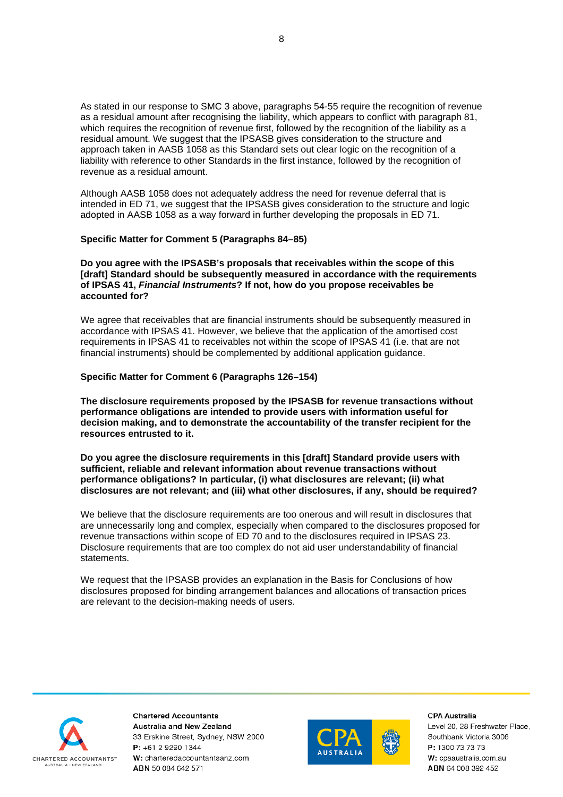As stated in our response to SMC 3 above, paragraphs 54-55 require the recognition of revenue as a residual amount after recognising the liability, which appears to conflict with paragraph 81, which requires the recognition of revenue first, followed by the recognition of the liability as a residual amount. We suggest that the IPSASB gives consideration to the structure and approach taken in AASB 1058 as this Standard sets out clear logic on the recognition of a liability with reference to other Standards in the first instance, followed by the recognition of revenue as a residual amount.

Although AASB 1058 does not adequately address the need for revenue deferral that is intended in ED 71, we suggest that the IPSASB gives consideration to the structure and logic adopted in AASB 1058 as a way forward in further developing the proposals in ED 71.

### **Specific Matter for Comment 5 (Paragraphs 84–85)**

**Do you agree with the IPSASB's proposals that receivables within the scope of this [draft] Standard should be subsequently measured in accordance with the requirements of IPSAS 41,** *Financial Instruments***? If not, how do you propose receivables be accounted for?**

We agree that receivables that are financial instruments should be subsequently measured in accordance with IPSAS 41. However, we believe that the application of the amortised cost requirements in IPSAS 41 to receivables not within the scope of IPSAS 41 (i.e. that are not financial instruments) should be complemented by additional application guidance.

### **Specific Matter for Comment 6 (Paragraphs 126–154)**

**The disclosure requirements proposed by the IPSASB for revenue transactions without performance obligations are intended to provide users with information useful for decision making, and to demonstrate the accountability of the transfer recipient for the resources entrusted to it.**

**Do you agree the disclosure requirements in this [draft] Standard provide users with sufficient, reliable and relevant information about revenue transactions without performance obligations? In particular, (i) what disclosures are relevant; (ii) what disclosures are not relevant; and (iii) what other disclosures, if any, should be required?**

We believe that the disclosure requirements are too onerous and will result in disclosures that are unnecessarily long and complex, especially when compared to the disclosures proposed for revenue transactions within scope of ED 70 and to the disclosures required in IPSAS 23. Disclosure requirements that are too complex do not aid user understandability of financial statements.

We request that the IPSASB provides an explanation in the Basis for Conclusions of how disclosures proposed for binding arrangement balances and allocations of transaction prices are relevant to the decision-making needs of users.



**Chartered Accountants Australia and New Zealand** 33 Erskine Street, Sydney, NSW 2000 P: +61 2 9290 1344 W: charteredaccountantsanz.com ABN 50 084 642 571



**CPA Australia**